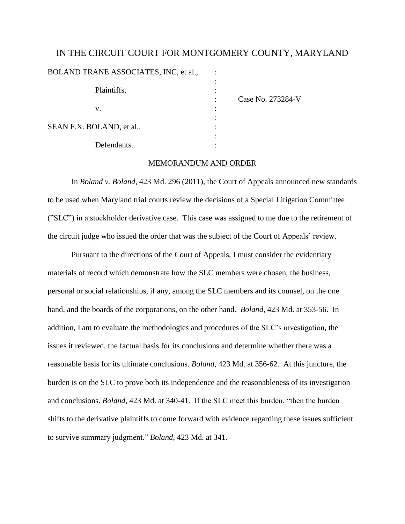# IN THE CIRCUIT COURT FOR MONTGOMERY COUNTY, MARYLAND

BOLAND TRANE ASSOCIATES, INC, et al.,

| Plaintiffs,               |      |
|---------------------------|------|
| v.                        | Case |
| SEAN F.X. BOLAND, et al., |      |
| Defendants.               |      |

No. 273284-V

# MEMORANDUM AND ORDER

In *Boland v. Boland*, 423 Md. 296 (2011), the Court of Appeals announced new standards to be used when Maryland trial courts review the decisions of a Special Litigation Committee ("SLC") in a stockholder derivative case. This case was assigned to me due to the retirement of the circuit judge who issued the order that was the subject of the Court of Appeals' review.

Pursuant to the directions of the Court of Appeals, I must consider the evidentiary materials of record which demonstrate how the SLC members were chosen, the business, personal or social relationships, if any, among the SLC members and its counsel, on the one hand, and the boards of the corporations, on the other hand. *Boland,* 423 Md. at 353-56. In addition, I am to evaluate the methodologies and procedures of the SLC"s investigation, the issues it reviewed, the factual basis for its conclusions and determine whether there was a reasonable basis for its ultimate conclusions. *Boland*, 423 Md. at 356-62. At this juncture, the burden is on the SLC to prove both its independence and the reasonableness of its investigation and conclusions. *Boland*, 423 Md. at 340-41. If the SLC meet this burden, "then the burden shifts to the derivative plaintiffs to come forward with evidence regarding these issues sufficient to survive summary judgment." *Boland*, 423 Md. at 341.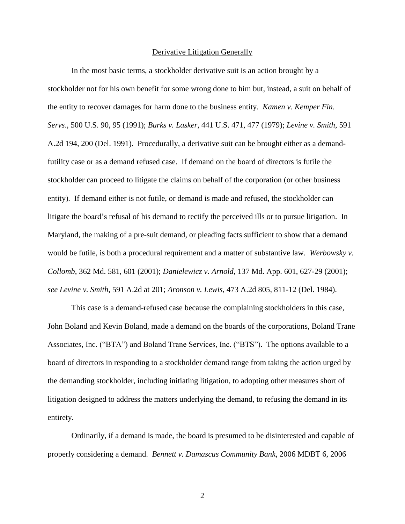#### Derivative Litigation Generally

In the most basic terms, a stockholder derivative suit is an action brought by a stockholder not for his own benefit for some wrong done to him but, instead, a suit on behalf of the entity to recover damages for harm done to the business entity. *Kamen v. Kemper Fin. Servs*., 500 U.S. 90, 95 (1991); *Burks v. Lasker*, 441 U.S. 471, 477 (1979); *Levine v. Smith*, 591 A.2d 194, 200 (Del. 1991). Procedurally, a derivative suit can be brought either as a demandfutility case or as a demand refused case. If demand on the board of directors is futile the stockholder can proceed to litigate the claims on behalf of the corporation (or other business entity). If demand either is not futile, or demand is made and refused, the stockholder can litigate the board"s refusal of his demand to rectify the perceived ills or to pursue litigation. In Maryland, the making of a pre-suit demand, or pleading facts sufficient to show that a demand would be futile, is both a procedural requirement and a matter of substantive law. *Werbowsky v. Collomb*, 362 Md. 581, 601 (2001); *Danielewicz v. Arnold*, 137 Md. App. 601, 627-29 (2001); *see Levine v. Smith*, 591 A.2d at 201; *Aronson v. Lewis*, 473 A.2d 805, 811-12 (Del. 1984).

This case is a demand-refused case because the complaining stockholders in this case, John Boland and Kevin Boland, made a demand on the boards of the corporations, Boland Trane Associates, Inc. ("BTA") and Boland Trane Services, Inc. ("BTS"). The options available to a board of directors in responding to a stockholder demand range from taking the action urged by the demanding stockholder, including initiating litigation, to adopting other measures short of litigation designed to address the matters underlying the demand, to refusing the demand in its entirety.

Ordinarily, if a demand is made, the board is presumed to be disinterested and capable of properly considering a demand. *Bennett v. Damascus Community Bank*, 2006 MDBT 6, 2006

2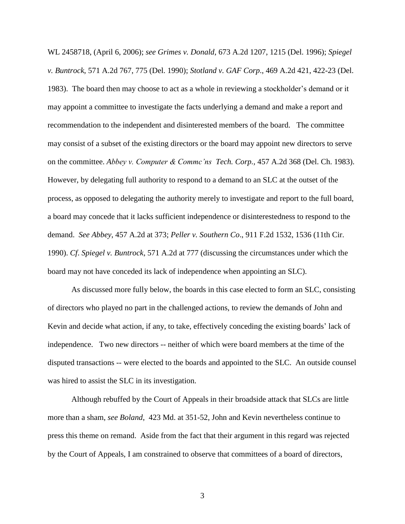WL 2458718, (April 6, 2006); *see Grimes v. Donald*, 673 A.2d 1207, 1215 (Del. 1996); *Spiegel v. Buntrock*, 571 A.2d 767, 775 (Del. 1990); *Stotland v. GAF Corp*., 469 A.2d 421, 422-23 (Del. 1983). The board then may choose to act as a whole in reviewing a stockholder"s demand or it may appoint a committee to investigate the facts underlying a demand and make a report and recommendation to the independent and disinterested members of the board. The committee may consist of a subset of the existing directors or the board may appoint new directors to serve on the committee. *Abbey v. Computer & Commc'ns Tech. Corp.,* 457 A.2d 368 (Del. Ch. 1983). However, by delegating full authority to respond to a demand to an SLC at the outset of the process, as opposed to delegating the authority merely to investigate and report to the full board, a board may concede that it lacks sufficient independence or disinterestedness to respond to the demand. *See Abbey*, 457 A.2d at 373; *Peller v. Southern Co*., 911 F.2d 1532, 1536 (11th Cir. 1990). *Cf*. *Spiegel v. Buntrock*, 571 A.2d at 777 (discussing the circumstances under which the board may not have conceded its lack of independence when appointing an SLC).

As discussed more fully below, the boards in this case elected to form an SLC, consisting of directors who played no part in the challenged actions, to review the demands of John and Kevin and decide what action, if any, to take, effectively conceding the existing boards" lack of independence. Two new directors -- neither of which were board members at the time of the disputed transactions -- were elected to the boards and appointed to the SLC. An outside counsel was hired to assist the SLC in its investigation.

Although rebuffed by the Court of Appeals in their broadside attack that SLCs are little more than a sham, *see Boland*, 423 Md. at 351-52, John and Kevin nevertheless continue to press this theme on remand. Aside from the fact that their argument in this regard was rejected by the Court of Appeals, I am constrained to observe that committees of a board of directors,

3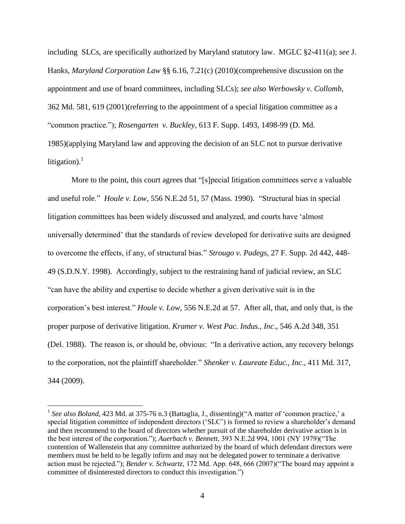including SLCs, are specifically authorized by Maryland statutory law. MGLC §2-411(a); *see* J. Hanks, *Maryland Corporation Law* §§ 6.16, 7.21(c) (2010)(comprehensive discussion on the appointment and use of board committees, including SLCs); *see also Werbowsky v. Collomb*, 362 Md. 581, 619 (2001)(referring to the appointment of a special litigation committee as a "common practice."); *Rosengarten v. Buckley*, 613 F. Supp. 1493, 1498-99 (D. Md. 1985)(applying Maryland law and approving the decision of an SLC not to pursue derivative litigation).<sup>1</sup>

More to the point, this court agrees that "[s]pecial litigation committees serve a valuable and useful role." *Houle v. Low*, 556 N.E.2d 51, 57 (Mass. 1990). "Structural bias in special litigation committees has been widely discussed and analyzed, and courts have "almost universally determined" that the standards of review developed for derivative suits are designed to overcome the effects, if any, of structural bias." *Strougo v. Padegs*, 27 F. Supp. 2d 442, 448- 49 (S.D.N.Y. 1998). Accordingly, subject to the restraining hand of judicial review, an SLC "can have the ability and expertise to decide whether a given derivative suit is in the corporation"s best interest." *Houle v. Low*, 556 N.E.2d at 57. After all, that, and only that, is the proper purpose of derivative litigation. *Kramer v. West Pac. Indus., Inc*., 546 A.2d 348, 351 (Del. 1988). The reason is, or should be, obvious: "In a derivative action, any recovery belongs to the corporation, not the plaintiff shareholder." *Shenker v. Laureate Educ., Inc*., 411 Md. 317, 344 (2009).

<sup>&</sup>lt;sup>1</sup> See also Boland, 423 Md. at 375-76 n.3 (Battaglia, J., dissenting)("A matter of 'common practice,' a special litigation committee of independent directors ('SLC') is formed to review a shareholder's demand and then recommend to the board of directors whether pursuit of the shareholder derivative action is in the best interest of the corporation."); *Auerbach v. Bennett*, 393 N.E.2d 994, 1001 (NY 1979)("The contention of Wallenstein that any committee authorized by the board of which defendant directors were members must be held to be legally infirm and may not be delegated power to terminate a derivative action must be rejected."); *Bender v. Schwartz*, 172 Md. App. 648, 666 (2007)("The board may appoint a committee of disinterested directors to conduct this investigation.")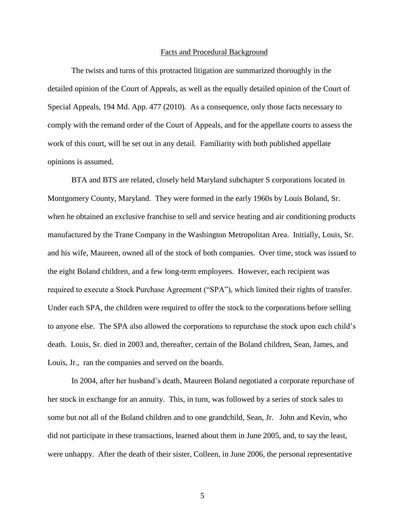#### Facts and Procedural Background

The twists and turns of this protracted litigation are summarized thoroughly in the detailed opinion of the Court of Appeals, as well as the equally detailed opinion of the Court of Special Appeals, 194 Md. App. 477 (2010). As a consequence, only those facts necessary to comply with the remand order of the Court of Appeals, and for the appellate courts to assess the work of this court, will be set out in any detail. Familiarity with both published appellate opinions is assumed.

BTA and BTS are related, closely held Maryland subchapter S corporations located in Montgomery County, Maryland. They were formed in the early 1960s by Louis Boland, Sr. when he obtained an exclusive franchise to sell and service heating and air conditioning products manufactured by the Trane Company in the Washington Metropolitan Area. Initially, Louis, Sr. and his wife, Maureen, owned all of the stock of both companies. Over time, stock was issued to the eight Boland children, and a few long-term employees. However, each recipient was required to execute a Stock Purchase Agreement ("SPA"), which limited their rights of transfer. Under each SPA, the children were required to offer the stock to the corporations before selling to anyone else. The SPA also allowed the corporations to repurchase the stock upon each child"s death. Louis, Sr. died in 2003 and, thereafter, certain of the Boland children, Sean, James, and Louis, Jr., ran the companies and served on the boards.

In 2004, after her husband"s death, Maureen Boland negotiated a corporate repurchase of her stock in exchange for an annuity. This, in turn, was followed by a series of stock sales to some but not all of the Boland children and to one grandchild, Sean, Jr. John and Kevin, who did not participate in these transactions, learned about them in June 2005, and, to say the least, were unhappy. After the death of their sister, Colleen, in June 2006, the personal representative

5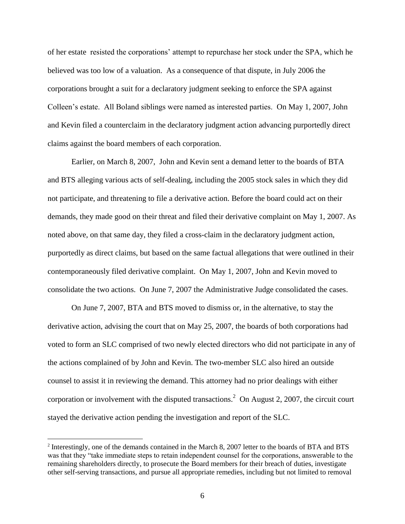of her estate resisted the corporations" attempt to repurchase her stock under the SPA, which he believed was too low of a valuation. As a consequence of that dispute, in July 2006 the corporations brought a suit for a declaratory judgment seeking to enforce the SPA against Colleen"s estate. All Boland siblings were named as interested parties. On May 1, 2007, John and Kevin filed a counterclaim in the declaratory judgment action advancing purportedly direct claims against the board members of each corporation.

Earlier, on March 8, 2007, John and Kevin sent a demand letter to the boards of BTA and BTS alleging various acts of self-dealing, including the 2005 stock sales in which they did not participate, and threatening to file a derivative action. Before the board could act on their demands, they made good on their threat and filed their derivative complaint on May 1, 2007. As noted above, on that same day, they filed a cross-claim in the declaratory judgment action, purportedly as direct claims, but based on the same factual allegations that were outlined in their contemporaneously filed derivative complaint. On May 1, 2007, John and Kevin moved to consolidate the two actions. On June 7, 2007 the Administrative Judge consolidated the cases.

On June 7, 2007, BTA and BTS moved to dismiss or, in the alternative, to stay the derivative action, advising the court that on May 25, 2007, the boards of both corporations had voted to form an SLC comprised of two newly elected directors who did not participate in any of the actions complained of by John and Kevin. The two-member SLC also hired an outside counsel to assist it in reviewing the demand. This attorney had no prior dealings with either corporation or involvement with the disputed transactions.<sup>2</sup> On August 2, 2007, the circuit court stayed the derivative action pending the investigation and report of the SLC.

<sup>&</sup>lt;sup>2</sup> Interestingly, one of the demands contained in the March 8, 2007 letter to the boards of BTA and BTS was that they "take immediate steps to retain independent counsel for the corporations, answerable to the remaining shareholders directly, to prosecute the Board members for their breach of duties, investigate other self-serving transactions, and pursue all appropriate remedies, including but not limited to removal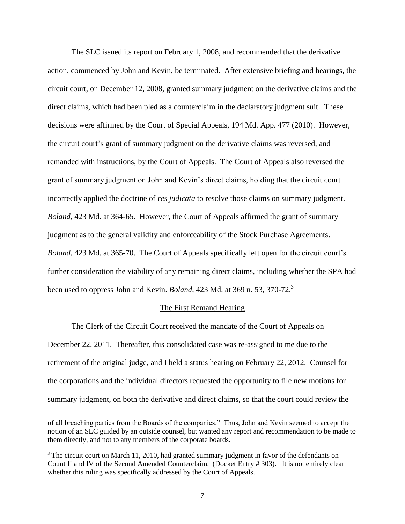The SLC issued its report on February 1, 2008, and recommended that the derivative action, commenced by John and Kevin, be terminated. After extensive briefing and hearings, the circuit court, on December 12, 2008, granted summary judgment on the derivative claims and the direct claims, which had been pled as a counterclaim in the declaratory judgment suit. These decisions were affirmed by the Court of Special Appeals, 194 Md. App. 477 (2010). However, the circuit court's grant of summary judgment on the derivative claims was reversed, and remanded with instructions, by the Court of Appeals. The Court of Appeals also reversed the grant of summary judgment on John and Kevin"s direct claims, holding that the circuit court incorrectly applied the doctrine of *res judicata* to resolve those claims on summary judgment. *Boland*, 423 Md. at 364-65. However, the Court of Appeals affirmed the grant of summary judgment as to the general validity and enforceability of the Stock Purchase Agreements. *Boland*, 423 Md. at 365-70. The Court of Appeals specifically left open for the circuit court's further consideration the viability of any remaining direct claims, including whether the SPA had been used to oppress John and Kevin. *Boland*, 423 Md. at 369 n. 53, 370-72.<sup>3</sup>

### The First Remand Hearing

The Clerk of the Circuit Court received the mandate of the Court of Appeals on December 22, 2011. Thereafter, this consolidated case was re-assigned to me due to the retirement of the original judge, and I held a status hearing on February 22, 2012. Counsel for the corporations and the individual directors requested the opportunity to file new motions for summary judgment, on both the derivative and direct claims, so that the court could review the

of all breaching parties from the Boards of the companies." Thus, John and Kevin seemed to accept the notion of an SLC guided by an outside counsel, but wanted any report and recommendation to be made to them directly, and not to any members of the corporate boards.

<sup>&</sup>lt;sup>3</sup> The circuit court on March 11, 2010, had granted summary judgment in favor of the defendants on Count II and IV of the Second Amended Counterclaim. (Docket Entry # 303). It is not entirely clear whether this ruling was specifically addressed by the Court of Appeals.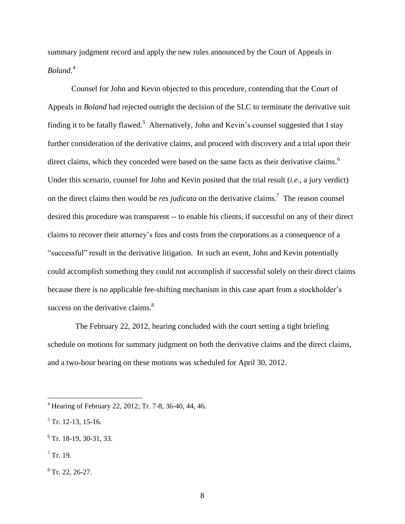summary judgment record and apply the new rules announced by the Court of Appeals in *Boland*. 4

Counsel for John and Kevin objected to this procedure, contending that the Court of Appeals in *Boland* had rejected outright the decision of the SLC to terminate the derivative suit finding it to be fatally flawed.<sup>5</sup> Alternatively, John and Kevin's counsel suggested that I stay further consideration of the derivative claims, and proceed with discovery and a trial upon their direct claims, which they conceded were based on the same facts as their derivative claims.<sup>6</sup> Under this scenario, counsel for John and Kevin posited that the trial result (*i.e*., a jury verdict) on the direct claims then would be *res judicata* on the derivative claims.<sup>7</sup> The reason counsel desired this procedure was transparent -- to enable his clients, if successful on any of their direct claims to recover their attorney"s fees and costs from the corporations as a consequence of a "successful" result in the derivative litigation. In such an event, John and Kevin potentially could accomplish something they could not accomplish if successful solely on their direct claims because there is no applicable fee-shifting mechanism in this case apart from a stockholder"s success on the derivative claims. $8<sup>8</sup>$ 

 The February 22, 2012, hearing concluded with the court setting a tight briefing schedule on motions for summary judgment on both the derivative claims and the direct claims, and a two-hour hearing on these motions was scheduled for April 30, 2012.

 $7$  Tr. 19.

<sup>4</sup> Hearing of February 22, 2012; Tr. 7-8, 36-40, 44, 46.

 $<sup>5</sup>$  Tr. 12-13, 15-16.</sup>

 $6$  Tr. 18-19, 30-31, 33.

 $8$  Tr. 22, 26-27.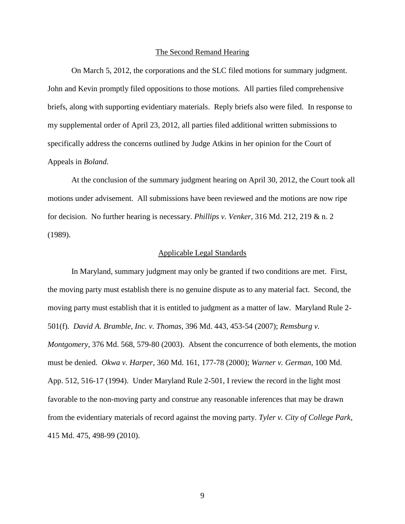#### The Second Remand Hearing

On March 5, 2012, the corporations and the SLC filed motions for summary judgment. John and Kevin promptly filed oppositions to those motions. All parties filed comprehensive briefs, along with supporting evidentiary materials. Reply briefs also were filed. In response to my supplemental order of April 23, 2012, all parties filed additional written submissions to specifically address the concerns outlined by Judge Atkins in her opinion for the Court of Appeals in *Boland*.

At the conclusion of the summary judgment hearing on April 30, 2012, the Court took all motions under advisement. All submissions have been reviewed and the motions are now ripe for decision. No further hearing is necessary. *Phillips v. Venker*, 316 Md. 212, 219 & n. 2 (1989).

## Applicable Legal Standards

In Maryland, summary judgment may only be granted if two conditions are met. First, the moving party must establish there is no genuine dispute as to any material fact. Second, the moving party must establish that it is entitled to judgment as a matter of law. Maryland Rule 2- 501(f). *David A. Bramble, Inc. v. Thomas,* 396 Md. 443, 453-54 (2007); *Remsburg v. Montgomery*, 376 Md. 568, 579-80 (2003). Absent the concurrence of both elements, the motion must be denied. *Okwa v. Harper*, 360 Md. 161, 177-78 (2000); *Warner v. German*, 100 Md. App. 512, 516-17 (1994). Under Maryland Rule 2-501, I review the record in the light most favorable to the non-moving party and construe any reasonable inferences that may be drawn from the evidentiary materials of record against the moving party. *Tyler v. City of College Park*, 415 Md. 475, 498-99 (2010).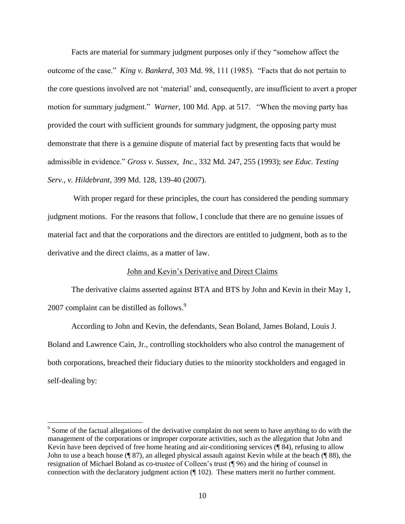Facts are material for summary judgment purposes only if they "somehow affect the outcome of the case." *King v. Bankerd*, 303 Md. 98, 111 (1985). "Facts that do not pertain to the core questions involved are not "material" and, consequently, are insufficient to avert a proper motion for summary judgment." *Warner*, 100 Md. App. at 517. "When the moving party has provided the court with sufficient grounds for summary judgment, the opposing party must demonstrate that there is a genuine dispute of material fact by presenting facts that would be admissible in evidence." *Gross v. Sussex*, *Inc.*, 332 Md. 247, 255 (1993); *see Educ. Testing Serv., v. Hildebrant*, 399 Md. 128, 139-40 (2007).

With proper regard for these principles, the court has considered the pending summary judgment motions. For the reasons that follow, I conclude that there are no genuine issues of material fact and that the corporations and the directors are entitled to judgment, both as to the derivative and the direct claims, as a matter of law.

# John and Kevin"s Derivative and Direct Claims

The derivative claims asserted against BTA and BTS by John and Kevin in their May 1, 2007 complaint can be distilled as follows.<sup>9</sup>

According to John and Kevin, the defendants, Sean Boland, James Boland, Louis J. Boland and Lawrence Cain, Jr., controlling stockholders who also control the management of both corporations, breached their fiduciary duties to the minority stockholders and engaged in self-dealing by:

 $9^9$  Some of the factual allegations of the derivative complaint do not seem to have anything to do with the management of the corporations or improper corporate activities, such as the allegation that John and Kevin have been deprived of free home heating and air-conditioning services (¶ 84), refusing to allow John to use a beach house (¶ 87), an alleged physical assault against Kevin while at the beach (¶ 88), the resignation of Michael Boland as co-trustee of Colleen"s trust (¶ 96) and the hiring of counsel in connection with the declaratory judgment action (¶ 102). These matters merit no further comment.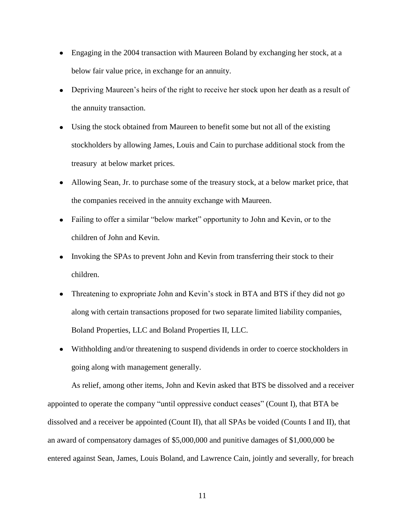- Engaging in the 2004 transaction with Maureen Boland by exchanging her stock, at a below fair value price, in exchange for an annuity.
- Depriving Maureen's heirs of the right to receive her stock upon her death as a result of the annuity transaction.
- Using the stock obtained from Maureen to benefit some but not all of the existing stockholders by allowing James, Louis and Cain to purchase additional stock from the treasury at below market prices.
- Allowing Sean, Jr. to purchase some of the treasury stock, at a below market price, that the companies received in the annuity exchange with Maureen.
- Failing to offer a similar "below market" opportunity to John and Kevin, or to the children of John and Kevin.
- Invoking the SPAs to prevent John and Kevin from transferring their stock to their children.
- Threatening to expropriate John and Kevin"s stock in BTA and BTS if they did not go along with certain transactions proposed for two separate limited liability companies, Boland Properties, LLC and Boland Properties II, LLC.
- Withholding and/or threatening to suspend dividends in order to coerce stockholders in going along with management generally.

As relief, among other items, John and Kevin asked that BTS be dissolved and a receiver appointed to operate the company "until oppressive conduct ceases" (Count I), that BTA be dissolved and a receiver be appointed (Count II), that all SPAs be voided (Counts I and II), that an award of compensatory damages of \$5,000,000 and punitive damages of \$1,000,000 be entered against Sean, James, Louis Boland, and Lawrence Cain, jointly and severally, for breach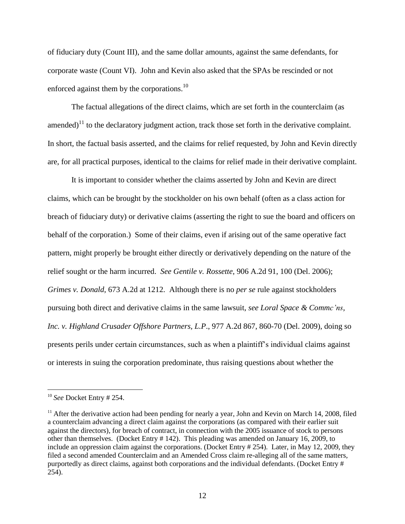of fiduciary duty (Count III), and the same dollar amounts, against the same defendants, for corporate waste (Count VI). John and Kevin also asked that the SPAs be rescinded or not enforced against them by the corporations. $^{10}$ 

The factual allegations of the direct claims, which are set forth in the counterclaim (as amended)<sup>11</sup> to the declaratory judgment action, track those set forth in the derivative complaint. In short, the factual basis asserted, and the claims for relief requested, by John and Kevin directly are, for all practical purposes, identical to the claims for relief made in their derivative complaint.

It is important to consider whether the claims asserted by John and Kevin are direct claims, which can be brought by the stockholder on his own behalf (often as a class action for breach of fiduciary duty) or derivative claims (asserting the right to sue the board and officers on behalf of the corporation.) Some of their claims, even if arising out of the same operative fact pattern, might properly be brought either directly or derivatively depending on the nature of the relief sought or the harm incurred. *See Gentile v. Rossette*, 906 A.2d 91, 100 (Del. 2006); *Grimes v. Donald*, 673 A.2d at 1212. Although there is no *per se* rule against stockholders pursuing both direct and derivative claims in the same lawsuit, *see Loral Space & Commc'ns, Inc. v. Highland Crusader Offshore Partners, L.P*., 977 A.2d 867, 860-70 (Del. 2009), doing so presents perils under certain circumstances, such as when a plaintiff"s individual claims against or interests in suing the corporation predominate, thus raising questions about whether the

<sup>10</sup> *See* Docket Entry # 254.

 $11$  After the derivative action had been pending for nearly a year, John and Kevin on March 14, 2008, filed a counterclaim advancing a direct claim against the corporations (as compared with their earlier suit against the directors), for breach of contract, in connection with the 2005 issuance of stock to persons other than themselves. (Docket Entry # 142). This pleading was amended on January 16, 2009, to include an oppression claim against the corporations. (Docket Entry # 254). Later, in May 12, 2009, they filed a second amended Counterclaim and an Amended Cross claim re-alleging all of the same matters, purportedly as direct claims, against both corporations and the individual defendants. (Docket Entry # 254).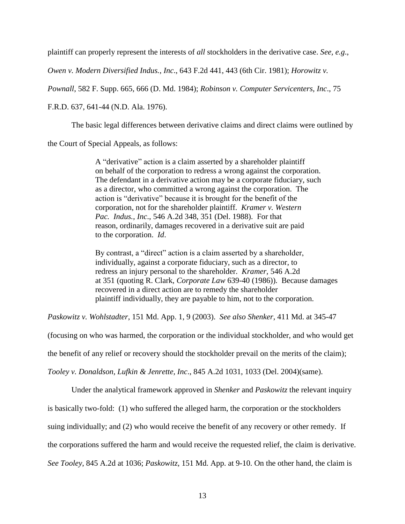plaintiff can properly represent the interests of *all* stockholders in the derivative case. *See, e.g*.,

*Owen v. Modern Diversified Indus., Inc*., 643 F.2d 441, 443 (6th Cir. 1981); *Horowitz v.* 

*Pownall*, 582 F. Supp. 665, 666 (D. Md. 1984); *Robinson v. Computer Servicenters, Inc*., 75

F.R.D. 637, 641-44 (N.D. Ala. 1976).

The basic legal differences between derivative claims and direct claims were outlined by

the Court of Special Appeals, as follows:

A "derivative" action is a claim asserted by a shareholder plaintiff on behalf of the corporation to redress a wrong against the corporation. The defendant in a derivative action may be a corporate fiduciary, such as a director, who committed a wrong against the corporation. The action is "derivative" because it is brought for the benefit of the corporation, not for the shareholder plaintiff. *Kramer v. Western Pac. Indus., Inc*., 546 A.2d 348, 351 (Del. 1988). For that reason, ordinarily, damages recovered in a derivative suit are paid to the corporation. *Id*.

By contrast, a "direct" action is a claim asserted by a shareholder, individually, against a corporate fiduciary, such as a director, to redress an injury personal to the shareholder. *Kramer,* 546 A.2d at 351 (quoting R. Clark, *Corporate Law* 639-40 (1986)). Because damages recovered in a direct action are to remedy the shareholder plaintiff individually, they are payable to him, not to the corporation.

*Paskowitz v. Wohlstadter*, 151 Md. App. 1, 9 (2003). *See also Shenker*, 411 Md. at 345-47

(focusing on who was harmed, the corporation or the individual stockholder, and who would get

the benefit of any relief or recovery should the stockholder prevail on the merits of the claim);

*Tooley v. Donaldson, Lufkin & Jenrette, Inc*., 845 A.2d 1031, 1033 (Del. 2004)(same).

Under the analytical framework approved in *Shenker* and *Paskowitz* the relevant inquiry

is basically two-fold: (1) who suffered the alleged harm, the corporation or the stockholders

suing individually; and (2) who would receive the benefit of any recovery or other remedy. If

the corporations suffered the harm and would receive the requested relief, the claim is derivative.

*See Tooley*, 845 A.2d at 1036; *Paskowitz*, 151 Md. App. at 9-10. On the other hand, the claim is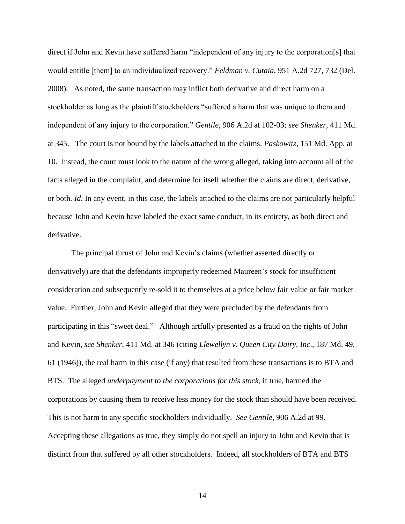direct if John and Kevin have suffered harm "independent of any injury to the corporation[s] that would entitle [them] to an individualized recovery." *Feldman v. Cutaia*, 951 A.2d 727, 732 (Del. 2008). As noted, the same transaction may inflict both derivative and direct harm on a stockholder as long as the plaintiff stockholders "suffered a harm that was unique to them and independent of any injury to the corporation." *Gentile*, 906 A.2d at 102-03; *see Shenker*, 411 Md. at 345. The court is not bound by the labels attached to the claims. *Paskowitz*, 151 Md. App. at 10. Instead, the court must look to the nature of the wrong alleged, taking into account all of the facts alleged in the complaint, and determine for itself whether the claims are direct, derivative, or both. *Id*. In any event, in this case, the labels attached to the claims are not particularly helpful because John and Kevin have labeled the exact same conduct, in its entirety, as both direct and derivative.

The principal thrust of John and Kevin"s claims (whether asserted directly or derivatively) are that the defendants improperly redeemed Maureen's stock for insufficient consideration and subsequently re-sold it to themselves at a price below fair value or fair market value. Further, John and Kevin alleged that they were precluded by the defendants from participating in this "sweet deal." Although artfully presented as a fraud on the rights of John and Kevin, *see Shenker*, 411 Md. at 346 (citing *Llewellyn v. Queen City Dairy, Inc*., 187 Md. 49, 61 (1946)), the real harm in this case (if any) that resulted from these transactions is to BTA and BTS. The alleged *underpayment to the corporations for this stock*, if true, harmed the corporations by causing them to receive less money for the stock than should have been received. This is not harm to any specific stockholders individually. *See Gentile*, 906 A.2d at 99. Accepting these allegations as true, they simply do not spell an injury to John and Kevin that is distinct from that suffered by all other stockholders. Indeed, all stockholders of BTA and BTS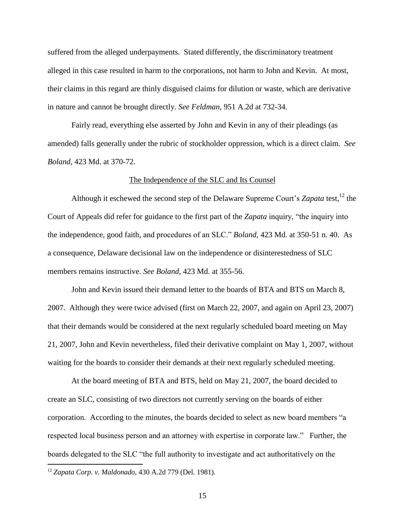suffered from the alleged underpayments. Stated differently, the discriminatory treatment alleged in this case resulted in harm to the corporations, not harm to John and Kevin. At most, their claims in this regard are thinly disguised claims for dilution or waste, which are derivative in nature and cannot be brought directly. *See Feldman,* 951 A.2d at 732-34.

Fairly read, everything else asserted by John and Kevin in any of their pleadings (as amended) falls generally under the rubric of stockholder oppression, which is a direct claim. *See Boland*, 423 Md. at 370-72.

## The Independence of the SLC and Its Counsel

Although it eschewed the second step of the Delaware Supreme Court's Zapata test,<sup>12</sup> the Court of Appeals did refer for guidance to the first part of the *Zapata* inquiry, "the inquiry into the independence, good faith, and procedures of an SLC." *Boland*, 423 Md. at 350-51 n. 40. As a consequence, Delaware decisional law on the independence or disinterestedness of SLC members remains instructive. *See Boland*, 423 Md. at 355-56.

John and Kevin issued their demand letter to the boards of BTA and BTS on March 8, 2007. Although they were twice advised (first on March 22, 2007, and again on April 23, 2007) that their demands would be considered at the next regularly scheduled board meeting on May 21, 2007, John and Kevin nevertheless, filed their derivative complaint on May 1, 2007, without waiting for the boards to consider their demands at their next regularly scheduled meeting.

At the board meeting of BTA and BTS, held on May 21, 2007, the board decided to create an SLC, consisting of two directors not currently serving on the boards of either corporation. According to the minutes, the boards decided to select as new board members "a respected local business person and an attorney with expertise in corporate law." Further, the boards delegated to the SLC "the full authority to investigate and act authoritatively on the

<sup>12</sup> *Zapata Corp. v. Maldonado*, 430 A.2d 779 (Del. 1981).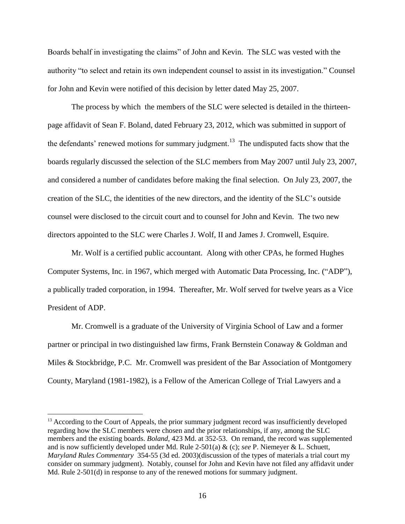Boards behalf in investigating the claims" of John and Kevin. The SLC was vested with the authority "to select and retain its own independent counsel to assist in its investigation." Counsel for John and Kevin were notified of this decision by letter dated May 25, 2007.

The process by which the members of the SLC were selected is detailed in the thirteenpage affidavit of Sean F. Boland, dated February 23, 2012, which was submitted in support of the defendants' renewed motions for summary judgment.<sup>13</sup> The undisputed facts show that the boards regularly discussed the selection of the SLC members from May 2007 until July 23, 2007, and considered a number of candidates before making the final selection. On July 23, 2007, the creation of the SLC, the identities of the new directors, and the identity of the SLC"s outside counsel were disclosed to the circuit court and to counsel for John and Kevin. The two new directors appointed to the SLC were Charles J. Wolf, II and James J. Cromwell, Esquire.

Mr. Wolf is a certified public accountant. Along with other CPAs, he formed Hughes Computer Systems, Inc. in 1967, which merged with Automatic Data Processing, Inc. ("ADP"), a publically traded corporation, in 1994. Thereafter, Mr. Wolf served for twelve years as a Vice President of ADP.

Mr. Cromwell is a graduate of the University of Virginia School of Law and a former partner or principal in two distinguished law firms, Frank Bernstein Conaway & Goldman and Miles & Stockbridge, P.C. Mr. Cromwell was president of the Bar Association of Montgomery County, Maryland (1981-1982), is a Fellow of the American College of Trial Lawyers and a

<sup>&</sup>lt;sup>13</sup> According to the Court of Appeals, the prior summary judgment record was insufficiently developed regarding how the SLC members were chosen and the prior relationships, if any, among the SLC members and the existing boards. *Boland*, 423 Md. at 352-53. On remand, the record was supplemented and is now sufficiently developed under Md. Rule 2-501(a) & (c); *see* P. Niemeyer & L. Schuett, *Maryland Rules Commentary* 354-55 (3d ed. 2003)(discussion of the types of materials a trial court my consider on summary judgment). Notably, counsel for John and Kevin have not filed any affidavit under Md. Rule 2-501(d) in response to any of the renewed motions for summary judgment.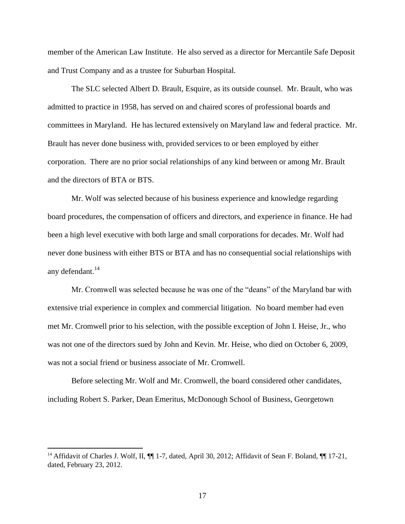member of the American Law Institute. He also served as a director for Mercantile Safe Deposit and Trust Company and as a trustee for Suburban Hospital.

The SLC selected Albert D. Brault, Esquire, as its outside counsel. Mr. Brault, who was admitted to practice in 1958, has served on and chaired scores of professional boards and committees in Maryland. He has lectured extensively on Maryland law and federal practice. Mr. Brault has never done business with, provided services to or been employed by either corporation. There are no prior social relationships of any kind between or among Mr. Brault and the directors of BTA or BTS.

Mr. Wolf was selected because of his business experience and knowledge regarding board procedures, the compensation of officers and directors, and experience in finance. He had been a high level executive with both large and small corporations for decades. Mr. Wolf had never done business with either BTS or BTA and has no consequential social relationships with any defendant.<sup>14</sup>

Mr. Cromwell was selected because he was one of the "deans" of the Maryland bar with extensive trial experience in complex and commercial litigation. No board member had even met Mr. Cromwell prior to his selection, with the possible exception of John I. Heise, Jr., who was not one of the directors sued by John and Kevin. Mr. Heise, who died on October 6, 2009, was not a social friend or business associate of Mr. Cromwell.

Before selecting Mr. Wolf and Mr. Cromwell, the board considered other candidates, including Robert S. Parker, Dean Emeritus, McDonough School of Business, Georgetown

<sup>&</sup>lt;sup>14</sup> Affidavit of Charles J. Wolf, II, ¶ 1-7, dated, April 30, 2012; Affidavit of Sean F. Boland, ¶ 17-21, dated, February 23, 2012.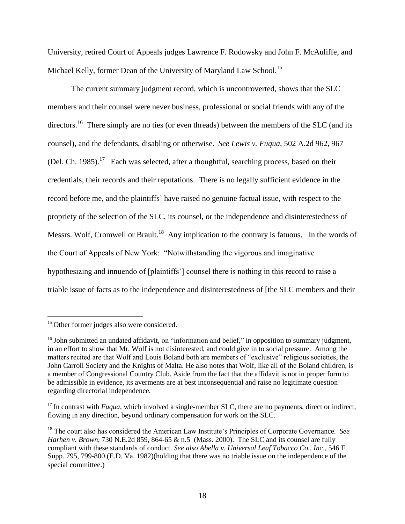University, retired Court of Appeals judges Lawrence F. Rodowsky and John F. McAuliffe, and Michael Kelly, former Dean of the University of Maryland Law School.<sup>15</sup>

The current summary judgment record, which is uncontroverted, shows that the SLC members and their counsel were never business, professional or social friends with any of the directors.<sup>16</sup> There simply are no ties (or even threads) between the members of the SLC (and its counsel), and the defendants, disabling or otherwise. *See Lewis v. Fuqua*, 502 A.2d 962, 967 (Del. Ch. 1985).<sup>17</sup> Each was selected, after a thoughtful, searching process, based on their credentials, their records and their reputations. There is no legally sufficient evidence in the record before me, and the plaintiffs' have raised no genuine factual issue, with respect to the propriety of the selection of the SLC, its counsel, or the independence and disinterestedness of Messrs. Wolf, Cromwell or Brault.<sup>18</sup> Any implication to the contrary is fatuous. In the words of the Court of Appeals of New York: "Notwithstanding the vigorous and imaginative hypothesizing and innuendo of [plaintiffs"] counsel there is nothing in this record to raise a triable issue of facts as to the independence and disinterestedness of [the SLC members and their

<sup>&</sup>lt;sup>15</sup> Other former judges also were considered.

<sup>&</sup>lt;sup>16</sup> John submitted an undated affidavit, on "information and belief," in opposition to summary judgment, in an effort to show that Mr. Wolf is not disinterested, and could give in to social pressure. Among the matters recited are that Wolf and Louis Boland both are members of "exclusive" religious societies, the John Carroll Society and the Knights of Malta. He also notes that Wolf, like all of the Boland children, is a member of Congressional Country Club. Aside from the fact that the affidavit is not in proper form to be admissible in evidence, its averments are at best inconsequential and raise no legitimate question regarding directorial independence.

<sup>&</sup>lt;sup>17</sup> In contrast with *Fuqua*, which involved a single-member SLC, there are no payments, direct or indirect, flowing in any direction, beyond ordinary compensation for work on the SLC.

<sup>&</sup>lt;sup>18</sup> The court also has considered the American Law Institute's Principles of Corporate Governance. *See Harhen v. Brown*, 730 N.E.2d 859, 864-65 & n.5 (Mass. 2000). The SLC and its counsel are fully compliant with these standards of conduct. *See also Abella v. Universal Leaf Tobacco Co., Inc*., 546 F. Supp. 795, 799-800 (E.D. Va. 1982)(holding that there was no triable issue on the independence of the special committee.)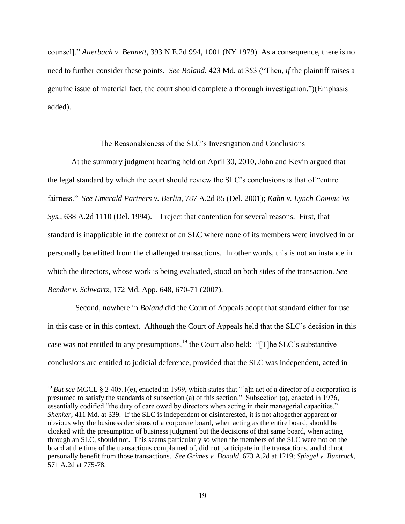counsel]." *Auerbach v. Bennett*, 393 N.E.2d 994, 1001 (NY 1979). As a consequence, there is no need to further consider these points. *See Boland*, 423 Md. at 353 ("Then, *if* the plaintiff raises a genuine issue of material fact, the court should complete a thorough investigation.")(Emphasis added).

## The Reasonableness of the SLC"s Investigation and Conclusions

At the summary judgment hearing held on April 30, 2010, John and Kevin argued that the legal standard by which the court should review the SLC"s conclusions is that of "entire fairness." *See Emerald Partners v. Berlin*, 787 A.2d 85 (Del. 2001); *Kahn v. Lynch Commc'ns Sys.*, 638 A.2d 1110 (Del. 1994). I reject that contention for several reasons. First, that standard is inapplicable in the context of an SLC where none of its members were involved in or personally benefitted from the challenged transactions. In other words, this is not an instance in which the directors, whose work is being evaluated, stood on both sides of the transaction. *See Bender v. Schwartz*, 172 Md. App. 648, 670-71 (2007).

 Second, nowhere in *Boland* did the Court of Appeals adopt that standard either for use in this case or in this context. Although the Court of Appeals held that the SLC"s decision in this case was not entitled to any presumptions,<sup>19</sup> the Court also held: "[T]he SLC's substantive conclusions are entitled to judicial deference, provided that the SLC was independent, acted in

<sup>&</sup>lt;sup>19</sup> *But see* MGCL § 2-405.1(e), enacted in 1999, which states that "[a]n act of a director of a corporation is presumed to satisfy the standards of subsection (a) of this section." Subsection (a), enacted in 1976, essentially codified "the duty of care owed by directors when acting in their managerial capacities." *Shenker*, 411 Md. at 339. If the SLC is independent or disinterested, it is not altogether apparent or obvious why the business decisions of a corporate board, when acting as the entire board, should be cloaked with the presumption of business judgment but the decisions of that same board, when acting through an SLC, should not. This seems particularly so when the members of the SLC were not on the board at the time of the transactions complained of, did not participate in the transactions, and did not personally benefit from those transactions. *See Grimes v. Donald*, 673 A.2d at 1219; *Spiegel v. Buntrock*, 571 A.2d at 775-78.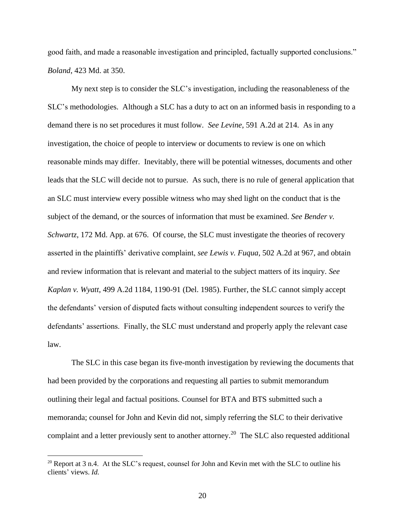good faith, and made a reasonable investigation and principled, factually supported conclusions." *Boland*, 423 Md. at 350.

My next step is to consider the SLC"s investigation, including the reasonableness of the SLC"s methodologies. Although a SLC has a duty to act on an informed basis in responding to a demand there is no set procedures it must follow. *See Levine*, 591 A.2d at 214. As in any investigation, the choice of people to interview or documents to review is one on which reasonable minds may differ. Inevitably, there will be potential witnesses, documents and other leads that the SLC will decide not to pursue. As such, there is no rule of general application that an SLC must interview every possible witness who may shed light on the conduct that is the subject of the demand, or the sources of information that must be examined. *See Bender v. Schwartz*, 172 Md. App. at 676. Of course, the SLC must investigate the theories of recovery asserted in the plaintiffs" derivative complaint, *see Lewis v. Fuqua*, 502 A.2d at 967, and obtain and review information that is relevant and material to the subject matters of its inquiry. *See Kaplan v. Wyatt*, 499 A.2d 1184, 1190-91 (Del. 1985). Further, the SLC cannot simply accept the defendants" version of disputed facts without consulting independent sources to verify the defendants' assertions. Finally, the SLC must understand and properly apply the relevant case law.

The SLC in this case began its five-month investigation by reviewing the documents that had been provided by the corporations and requesting all parties to submit memorandum outlining their legal and factual positions. Counsel for BTA and BTS submitted such a memoranda; counsel for John and Kevin did not, simply referring the SLC to their derivative complaint and a letter previously sent to another attorney.<sup>20</sup> The SLC also requested additional

 $20$  Report at 3 n.4. At the SLC's request, counsel for John and Kevin met with the SLC to outline his clients" views. *Id.*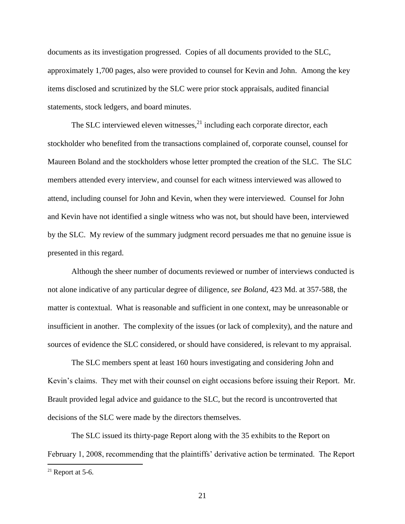documents as its investigation progressed. Copies of all documents provided to the SLC, approximately 1,700 pages, also were provided to counsel for Kevin and John. Among the key items disclosed and scrutinized by the SLC were prior stock appraisals, audited financial statements, stock ledgers, and board minutes.

The SLC interviewed eleven witnesses, $^{21}$  including each corporate director, each stockholder who benefited from the transactions complained of, corporate counsel, counsel for Maureen Boland and the stockholders whose letter prompted the creation of the SLC. The SLC members attended every interview, and counsel for each witness interviewed was allowed to attend, including counsel for John and Kevin, when they were interviewed. Counsel for John and Kevin have not identified a single witness who was not, but should have been, interviewed by the SLC. My review of the summary judgment record persuades me that no genuine issue is presented in this regard.

Although the sheer number of documents reviewed or number of interviews conducted is not alone indicative of any particular degree of diligence, *see Boland*, 423 Md. at 357-588, the matter is contextual. What is reasonable and sufficient in one context, may be unreasonable or insufficient in another. The complexity of the issues (or lack of complexity), and the nature and sources of evidence the SLC considered, or should have considered, is relevant to my appraisal.

The SLC members spent at least 160 hours investigating and considering John and Kevin"s claims. They met with their counsel on eight occasions before issuing their Report. Mr. Brault provided legal advice and guidance to the SLC, but the record is uncontroverted that decisions of the SLC were made by the directors themselves.

The SLC issued its thirty-page Report along with the 35 exhibits to the Report on February 1, 2008, recommending that the plaintiffs' derivative action be terminated. The Report

 $21$  Report at 5-6.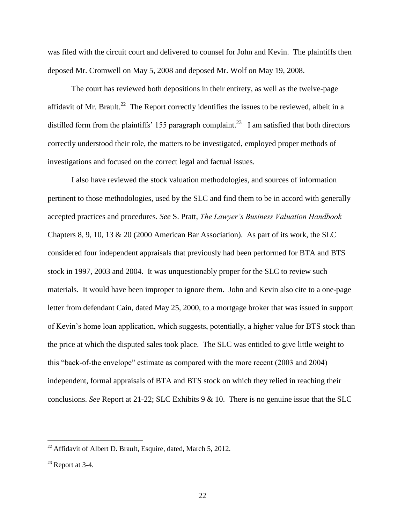was filed with the circuit court and delivered to counsel for John and Kevin. The plaintiffs then deposed Mr. Cromwell on May 5, 2008 and deposed Mr. Wolf on May 19, 2008.

The court has reviewed both depositions in their entirety, as well as the twelve-page affidavit of Mr. Brault.<sup>22</sup> The Report correctly identifies the issues to be reviewed, albeit in a distilled form from the plaintiffs' 155 paragraph complaint.<sup>23</sup> I am satisfied that both directors correctly understood their role, the matters to be investigated, employed proper methods of investigations and focused on the correct legal and factual issues.

I also have reviewed the stock valuation methodologies, and sources of information pertinent to those methodologies, used by the SLC and find them to be in accord with generally accepted practices and procedures. *See* S. Pratt, *The Lawyer's Business Valuation Handbook*  Chapters 8, 9, 10, 13 & 20 (2000 American Bar Association). As part of its work, the SLC considered four independent appraisals that previously had been performed for BTA and BTS stock in 1997, 2003 and 2004. It was unquestionably proper for the SLC to review such materials. It would have been improper to ignore them. John and Kevin also cite to a one-page letter from defendant Cain, dated May 25, 2000, to a mortgage broker that was issued in support of Kevin"s home loan application, which suggests, potentially, a higher value for BTS stock than the price at which the disputed sales took place. The SLC was entitled to give little weight to this "back-of-the envelope" estimate as compared with the more recent (2003 and 2004) independent, formal appraisals of BTA and BTS stock on which they relied in reaching their conclusions. *See* Report at 21-22; SLC Exhibits 9 & 10. There is no genuine issue that the SLC

<sup>&</sup>lt;sup>22</sup> Affidavit of Albert D. Brault, Esquire, dated, March 5, 2012.

 $23$  Report at 3-4.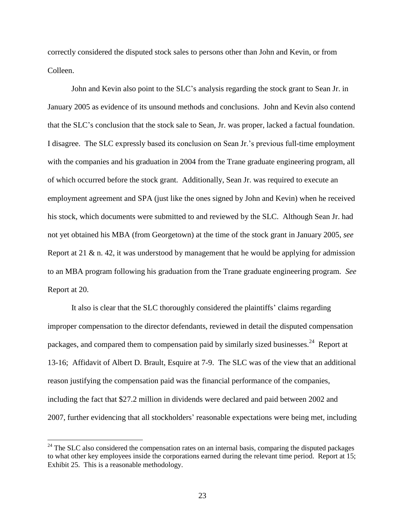correctly considered the disputed stock sales to persons other than John and Kevin, or from Colleen.

John and Kevin also point to the SLC"s analysis regarding the stock grant to Sean Jr. in January 2005 as evidence of its unsound methods and conclusions. John and Kevin also contend that the SLC"s conclusion that the stock sale to Sean, Jr. was proper, lacked a factual foundation. I disagree. The SLC expressly based its conclusion on Sean Jr."s previous full-time employment with the companies and his graduation in 2004 from the Trane graduate engineering program, all of which occurred before the stock grant. Additionally, Sean Jr. was required to execute an employment agreement and SPA (just like the ones signed by John and Kevin) when he received his stock, which documents were submitted to and reviewed by the SLC. Although Sean Jr. had not yet obtained his MBA (from Georgetown) at the time of the stock grant in January 2005, *see*  Report at 21  $\&$  n. 42, it was understood by management that he would be applying for admission to an MBA program following his graduation from the Trane graduate engineering program. *See*  Report at 20.

It also is clear that the SLC thoroughly considered the plaintiffs" claims regarding improper compensation to the director defendants, reviewed in detail the disputed compensation packages, and compared them to compensation paid by similarly sized businesses.<sup>24</sup> Report at 13-16; Affidavit of Albert D. Brault, Esquire at 7-9. The SLC was of the view that an additional reason justifying the compensation paid was the financial performance of the companies, including the fact that \$27.2 million in dividends were declared and paid between 2002 and 2007, further evidencing that all stockholders' reasonable expectations were being met, including

 $24$  The SLC also considered the compensation rates on an internal basis, comparing the disputed packages to what other key employees inside the corporations earned during the relevant time period. Report at 15; Exhibit 25. This is a reasonable methodology.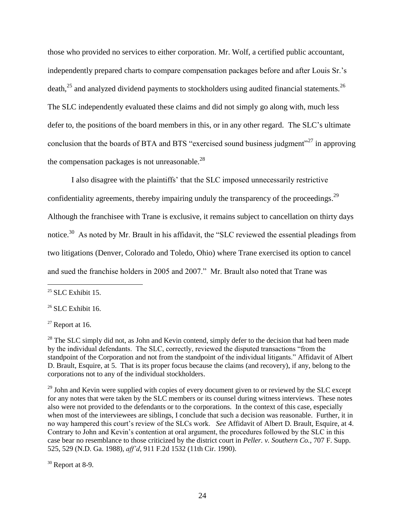those who provided no services to either corporation. Mr. Wolf, a certified public accountant, independently prepared charts to compare compensation packages before and after Louis Sr."s death, $25$  and analyzed dividend payments to stockholders using audited financial statements.<sup>26</sup> The SLC independently evaluated these claims and did not simply go along with, much less defer to, the positions of the board members in this, or in any other regard. The SLC"s ultimate conclusion that the boards of BTA and BTS "exercised sound business judgment"<sup>27</sup> in approving the compensation packages is not unreasonable. $^{28}$ 

I also disagree with the plaintiffs" that the SLC imposed unnecessarily restrictive confidentiality agreements, thereby impairing unduly the transparency of the proceedings.<sup>29</sup> Although the franchisee with Trane is exclusive, it remains subject to cancellation on thirty days notice.<sup>30</sup> As noted by Mr. Brault in his affidavit, the "SLC reviewed the essential pleadings from two litigations (Denver, Colorado and Toledo, Ohio) where Trane exercised its option to cancel and sued the franchise holders in 2005 and 2007." Mr. Brault also noted that Trane was

 $\overline{a}$ 

 $27$  Report at 16.

<sup>29</sup> John and Kevin were supplied with copies of every document given to or reviewed by the SLC except for any notes that were taken by the SLC members or its counsel during witness interviews. These notes also were not provided to the defendants or to the corporations. In the context of this case, especially when most of the interviewees are siblings, I conclude that such a decision was reasonable. Further, it in no way hampered this court"s review of the SLCs work. *See* Affidavit of Albert D. Brault, Esquire, at 4. Contrary to John and Kevin"s contention at oral argument, the procedures followed by the SLC in this case bear no resemblance to those criticized by the district court in *Peller. v. Southern Co.*, 707 F. Supp. 525, 529 (N.D. Ga. 1988), *aff'd*, 911 F.2d 1532 (11th Cir. 1990).

 $30$  Report at 8-9.

 $25$  SLC Exhibit 15.

 $26$  SLC Exhibit 16.

 $^{28}$  The SLC simply did not, as John and Kevin contend, simply defer to the decision that had been made by the individual defendants. The SLC, correctly, reviewed the disputed transactions "from the standpoint of the Corporation and not from the standpoint of the individual litigants." Affidavit of Albert D. Brault, Esquire, at 5. That is its proper focus because the claims (and recovery), if any, belong to the corporations not to any of the individual stockholders.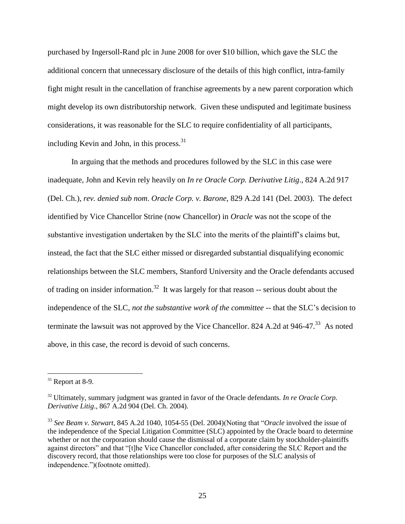purchased by Ingersoll-Rand plc in June 2008 for over \$10 billion, which gave the SLC the additional concern that unnecessary disclosure of the details of this high conflict, intra-family fight might result in the cancellation of franchise agreements by a new parent corporation which might develop its own distributorship network. Given these undisputed and legitimate business considerations, it was reasonable for the SLC to require confidentiality of all participants, including Kevin and John, in this process.  $31$ 

In arguing that the methods and procedures followed by the SLC in this case were inadequate, John and Kevin rely heavily on *In re Oracle Corp. Derivative Litig*., 824 A.2d 917 (Del. Ch.), *rev. denied sub nom*. *Oracle Corp. v. Barone*, 829 A.2d 141 (Del. 2003). The defect identified by Vice Chancellor Strine (now Chancellor) in *Oracle* was not the scope of the substantive investigation undertaken by the SLC into the merits of the plaintiff"s claims but, instead, the fact that the SLC either missed or disregarded substantial disqualifying economic relationships between the SLC members, Stanford University and the Oracle defendants accused of trading on insider information.<sup>32</sup> It was largely for that reason  $-$  serious doubt about the independence of the SLC, *not the substantive work of the committee* -- that the SLC"s decision to terminate the lawsuit was not approved by the Vice Chancellor. 824 A.2d at 946-47.<sup>33</sup> As noted above, in this case, the record is devoid of such concerns.

 $31$  Report at 8-9.

<sup>&</sup>lt;sup>32</sup> Ultimately, summary judgment was granted in favor of the Oracle defendants. *In re Oracle Corp*. *Derivative Litig*., 867 A.2d 904 (Del. Ch. 2004).

<sup>33</sup> *See Beam v. Stewart*, 845 A.2d 1040, 1054-55 (Del. 2004)(Noting that "*Oracle* involved the issue of the independence of the Special Litigation Committee (SLC) appointed by the Oracle board to determine whether or not the corporation should cause the dismissal of a corporate claim by stockholder-plaintiffs against directors" and that "[t]he Vice Chancellor concluded, after considering the SLC Report and the discovery record, that those relationships were too close for purposes of the SLC analysis of independence.")(footnote omitted).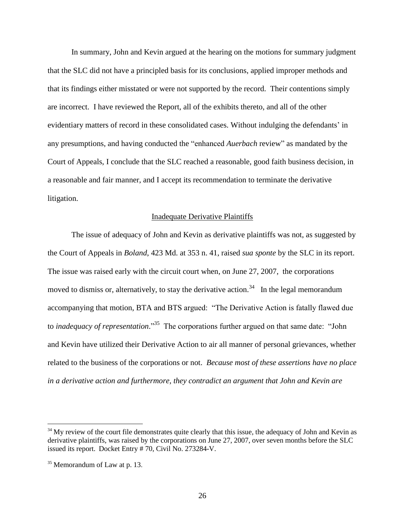In summary, John and Kevin argued at the hearing on the motions for summary judgment that the SLC did not have a principled basis for its conclusions, applied improper methods and that its findings either misstated or were not supported by the record. Their contentions simply are incorrect. I have reviewed the Report, all of the exhibits thereto, and all of the other evidentiary matters of record in these consolidated cases. Without indulging the defendants' in any presumptions, and having conducted the "enhanced *Auerbach* review" as mandated by the Court of Appeals, I conclude that the SLC reached a reasonable, good faith business decision, in a reasonable and fair manner, and I accept its recommendation to terminate the derivative litigation.

## Inadequate Derivative Plaintiffs

The issue of adequacy of John and Kevin as derivative plaintiffs was not, as suggested by the Court of Appeals in *Boland*, 423 Md. at 353 n. 41, raised *sua sponte* by the SLC in its report. The issue was raised early with the circuit court when, on June 27, 2007, the corporations moved to dismiss or, alternatively, to stay the derivative action.<sup>34</sup> In the legal memorandum accompanying that motion, BTA and BTS argued: "The Derivative Action is fatally flawed due to *inadequacy of representation*." 35 The corporations further argued on that same date: "John and Kevin have utilized their Derivative Action to air all manner of personal grievances, whether related to the business of the corporations or not. *Because most of these assertions have no place in a derivative action and furthermore, they contradict an argument that John and Kevin are* 

<sup>&</sup>lt;sup>34</sup> My review of the court file demonstrates quite clearly that this issue, the adequacy of John and Kevin as derivative plaintiffs, was raised by the corporations on June 27, 2007, over seven months before the SLC issued its report. Docket Entry # 70, Civil No. 273284-V.

<sup>&</sup>lt;sup>35</sup> Memorandum of Law at p. 13.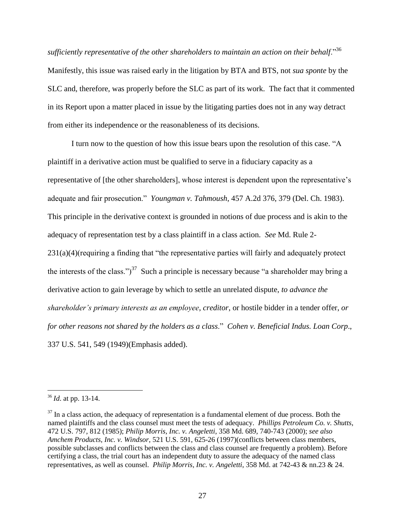*sufficiently representative of the other shareholders to maintain an action on their behalf*."<sup>36</sup> Manifestly, this issue was raised early in the litigation by BTA and BTS, not *sua sponte* by the SLC and, therefore, was properly before the SLC as part of its work. The fact that it commented in its Report upon a matter placed in issue by the litigating parties does not in any way detract from either its independence or the reasonableness of its decisions.

I turn now to the question of how this issue bears upon the resolution of this case. "A plaintiff in a derivative action must be qualified to serve in a fiduciary capacity as a representative of [the other shareholders], whose interest is dependent upon the representative"s adequate and fair prosecution." *Youngman v. Tahmoush*, 457 A.2d 376, 379 (Del. Ch. 1983). This principle in the derivative context is grounded in notions of due process and is akin to the adequacy of representation test by a class plaintiff in a class action. *See* Md. Rule 2- 231(a)(4)(requiring a finding that "the representative parties will fairly and adequately protect the interests of the class.")<sup>37</sup> Such a principle is necessary because "a shareholder may bring a derivative action to gain leverage by which to settle an unrelated dispute, *to advance the shareholder's primary interests as an employee*, *creditor*, or hostile bidder in a tender offer, *or for other reasons not shared by the holders as a class*." *Cohen v. Beneficial Indus. Loan Corp*., 337 U.S. 541, 549 (1949)(Emphasis added).

<sup>36</sup> *Id*. at pp. 13-14.

 $37$  In a class action, the adequacy of representation is a fundamental element of due process. Both the named plaintiffs and the class counsel must meet the tests of adequacy. *Phillips Petroleum Co. v. Shutts*, 472 U.S. 797, 812 (1985); *Philip Morris, Inc. v. Angeletti*, 358 Md. 689, 740-743 (2000); *see also Amchem Products, Inc. v. Windsor*, 521 U.S. 591, 625-26 (1997)(conflicts between class members, possible subclasses and conflicts between the class and class counsel are frequently a problem). Before certifying a class, the trial court has an independent duty to assure the adequacy of the named class representatives, as well as counsel. *Philip Morris, Inc. v. Angeletti*, 358 Md. at 742-43 & nn.23 & 24.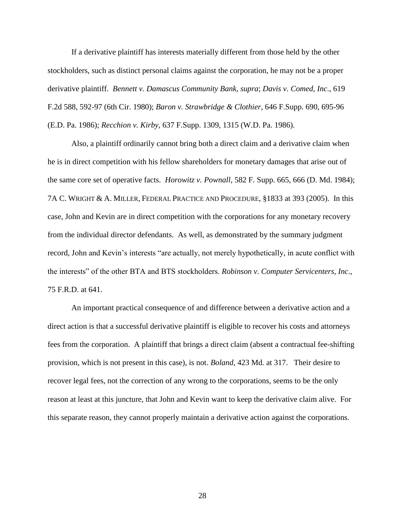If a derivative plaintiff has interests materially different from those held by the other stockholders, such as distinct personal claims against the corporation, he may not be a proper derivative plaintiff. *Bennett v. Damascus Community Bank*, *supra*; *Davis v. Comed, Inc*., 619 F.2d 588, 592-97 (6th Cir. 1980); *Baron v. Strawbridge & Clothier*, 646 F.Supp. 690, 695-96 (E.D. Pa. 1986); *Recchion v. Kirby*, 637 F.Supp. 1309, 1315 (W.D. Pa. 1986).

Also, a plaintiff ordinarily cannot bring both a direct claim and a derivative claim when he is in direct competition with his fellow shareholders for monetary damages that arise out of the same core set of operative facts. *Horowitz v. Pownall*, 582 F. Supp. 665, 666 (D. Md. 1984); 7A C. WRIGHT & A. MILLER, FEDERAL PRACTICE AND PROCEDURE, §1833 at 393 (2005). In this case, John and Kevin are in direct competition with the corporations for any monetary recovery from the individual director defendants. As well, as demonstrated by the summary judgment record, John and Kevin"s interests "are actually, not merely hypothetically, in acute conflict with the interests" of the other BTA and BTS stockholders. *Robinson v. Computer Servicenters, Inc*., 75 F.R.D. at 641.

An important practical consequence of and difference between a derivative action and a direct action is that a successful derivative plaintiff is eligible to recover his costs and attorneys fees from the corporation. A plaintiff that brings a direct claim (absent a contractual fee-shifting provision, which is not present in this case), is not. *Boland*, 423 Md. at 317. Their desire to recover legal fees, not the correction of any wrong to the corporations, seems to be the only reason at least at this juncture, that John and Kevin want to keep the derivative claim alive. For this separate reason, they cannot properly maintain a derivative action against the corporations.

28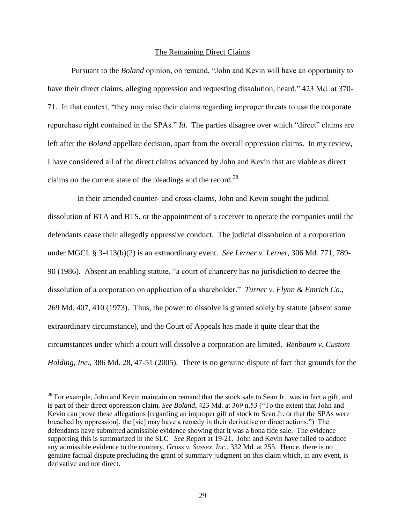## The Remaining Direct Claims

Pursuant to the *Boland* opinion, on remand, "John and Kevin will have an opportunity to have their direct claims, alleging oppression and requesting dissolution, heard." 423 Md. at 370- 71. In that context, "they may raise their claims regarding improper threats to use the corporate repurchase right contained in the SPAs." *Id*. The parties disagree over which "direct" claims are left after the *Boland* appellate decision, apart from the overall oppression claims. In my review, I have considered all of the direct claims advanced by John and Kevin that are viable as direct claims on the current state of the pleadings and the record.<sup>38</sup>

 In their amended counter- and cross-claims, John and Kevin sought the judicial dissolution of BTA and BTS, or the appointment of a receiver to operate the companies until the defendants cease their allegedly oppressive conduct. The judicial dissolution of a corporation under MGCL § 3-413(b)(2) is an extraordinary event. *See Lerner v. Lerne*r, 306 Md. 771, 789- 90 (1986). Absent an enabling statute, "a court of chancery has no jurisdiction to decree the dissolution of a corporation on application of a shareholder." *Turner v. Flynn & Emrich Co*., 269 Md. 407, 410 (1973). Thus, the power to dissolve is granted solely by statute (absent some extraordinary circumstance), and the Court of Appeals has made it quite clear that the circumstances under which a court will dissolve a corporation are limited. *Renbaum v. Custom Holding, Inc*., 386 Md. 28, 47-51 (2005). There is no genuine dispute of fact that grounds for the

<sup>&</sup>lt;sup>38</sup> For example, John and Kevin maintain on remand that the stock sale to Sean Jr., was in fact a gift, and is part of their direct oppression claim. *See Boland*, 423 Md. at 369 n.53 ("To the extent that John and Kevin can prove these allegations [regarding an improper gift of stock to Sean Jr. or that the SPAs were breached by oppression], the [sic] may have a remedy in their derivative or direct actions.") The defendants have submitted admissible evidence showing that it was a bona fide sale. The evidence supporting this is summarized in the SLC *See* Report at 19-21. John and Kevin have failed to adduce any admissible evidence to the contrary. *Gross v. Sussex*, *Inc.*, 332 Md. at 255. Hence, there is no genuine factual dispute precluding the grant of summary judgment on this claim which, in any event, is derivative and not direct.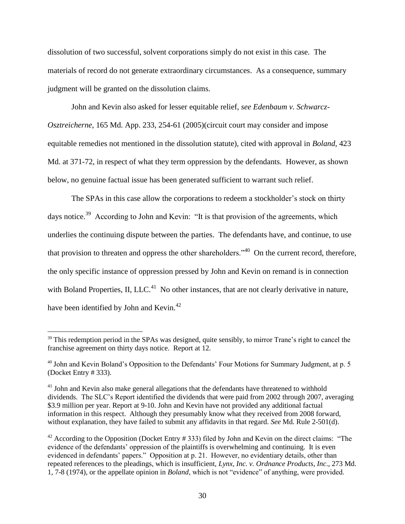dissolution of two successful, solvent corporations simply do not exist in this case. The materials of record do not generate extraordinary circumstances. As a consequence, summary judgment will be granted on the dissolution claims.

John and Kevin also asked for lesser equitable relief, *see Edenbaum v. Schwarcz-Osztreicherne*, 165 Md. App. 233, 254-61 (2005)(circuit court may consider and impose equitable remedies not mentioned in the dissolution statute), cited with approval in *Boland*, 423 Md. at 371-72, in respect of what they term oppression by the defendants. However, as shown below, no genuine factual issue has been generated sufficient to warrant such relief.

The SPAs in this case allow the corporations to redeem a stockholder's stock on thirty days notice.<sup>39</sup> According to John and Kevin: "It is that provision of the agreements, which underlies the continuing dispute between the parties. The defendants have, and continue, to use that provision to threaten and oppress the other shareholders."<sup>40</sup> On the current record, therefore, the only specific instance of oppression pressed by John and Kevin on remand is in connection with Boland Properties, II, LLC.<sup>41</sup> No other instances, that are not clearly derivative in nature, have been identified by John and Kevin.<sup>42</sup>

<sup>&</sup>lt;sup>39</sup> This redemption period in the SPAs was designed, quite sensibly, to mirror Trane's right to cancel the franchise agreement on thirty days notice. Report at 12.

 $40$  John and Kevin Boland's Opposition to the Defendants' Four Motions for Summary Judgment, at p. 5 (Docket Entry # 333).

 $41$  John and Kevin also make general allegations that the defendants have threatened to withhold dividends. The SLC"s Report identified the dividends that were paid from 2002 through 2007, averaging \$3.9 million per year. Report at 9-10. John and Kevin have not provided any additional factual information in this respect. Although they presumably know what they received from 2008 forward, without explanation, they have failed to submit any affidavits in that regard. *See* Md. Rule 2-501(d).

 $42$  According to the Opposition (Docket Entry # 333) filed by John and Kevin on the direct claims: "The evidence of the defendants' oppression of the plaintiffs is overwhelming and continuing. It is even evidenced in defendants' papers." Opposition at p. 21. However, no evidentiary details, other than repeated references to the pleadings, which is insufficient, *Lynx, Inc. v. Ordnance Products*, *Inc*., 273 Md. 1, 7-8 (1974), or the appellate opinion in *Boland*, which is not "evidence" of anything, were provided.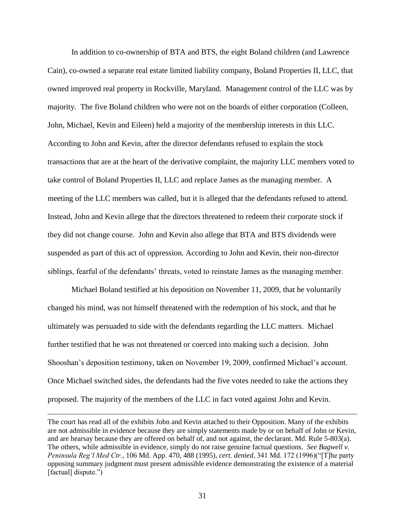In addition to co-ownership of BTA and BTS, the eight Boland children (and Lawrence Cain), co-owned a separate real estate limited liability company, Boland Properties II, LLC, that owned improved real property in Rockville, Maryland. Management control of the LLC was by majority. The five Boland children who were not on the boards of either corporation (Colleen, John, Michael, Kevin and Eileen) held a majority of the membership interests in this LLC. According to John and Kevin, after the director defendants refused to explain the stock transactions that are at the heart of the derivative complaint, the majority LLC members voted to take control of Boland Properties II, LLC and replace James as the managing member. A meeting of the LLC members was called, but it is alleged that the defendants refused to attend. Instead, John and Kevin allege that the directors threatened to redeem their corporate stock if they did not change course. John and Kevin also allege that BTA and BTS dividends were suspended as part of this act of oppression. According to John and Kevin, their non-director siblings, fearful of the defendants' threats, voted to reinstate James as the managing member.

Michael Boland testified at his deposition on November 11, 2009, that he voluntarily changed his mind, was not himself threatened with the redemption of his stock, and that he ultimately was persuaded to side with the defendants regarding the LLC matters. Michael further testified that he was not threatened or coerced into making such a decision. John Shooshan's deposition testimony, taken on November 19, 2009, confirmed Michael's account. Once Michael switched sides, the defendants had the five votes needed to take the actions they proposed. The majority of the members of the LLC in fact voted against John and Kevin.

The court has read all of the exhibits John and Kevin attached to their Opposition. Many of the exhibits are not admissible in evidence because they are simply statements made by or on behalf of John or Kevin, and are hearsay because they are offered on behalf of, and not against, the declarant. Md. Rule 5-803(a). The others, while admissible in evidence, simply do not raise genuine factual questions*. See Bagwell v. Peninsula Reg'l Med Ctr.*, 106 Md. App. 470, 488 (1995), *cert. denied*, 341 Md. 172 (1996)("[T]he party opposing summary judgment must present admissible evidence demonstrating the existence of a material [factual] dispute.")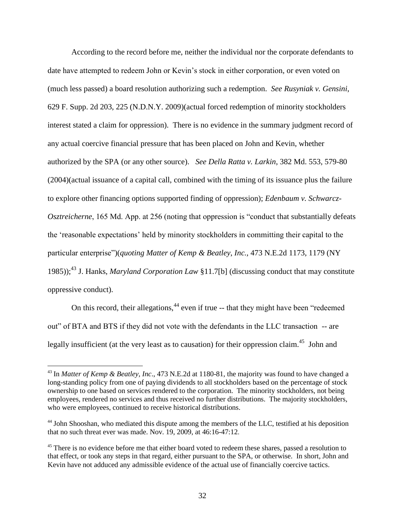According to the record before me, neither the individual nor the corporate defendants to date have attempted to redeem John or Kevin"s stock in either corporation, or even voted on (much less passed) a board resolution authorizing such a redemption. *See Rusyniak v. Gensini*, 629 F. Supp. 2d 203, 225 (N.D.N.Y. 2009)(actual forced redemption of minority stockholders interest stated a claim for oppression). There is no evidence in the summary judgment record of any actual coercive financial pressure that has been placed on John and Kevin, whether authorized by the SPA (or any other source). *See Della Ratta v. Larkin*, 382 Md. 553, 579-80 (2004)(actual issuance of a capital call, combined with the timing of its issuance plus the failure to explore other financing options supported finding of oppression); *Edenbaum v. Schwarcz-Osztreicherne*, 165 Md. App. at 256 (noting that oppression is "conduct that substantially defeats the "reasonable expectations" held by minority stockholders in committing their capital to the particular enterprise")(*quoting Matter of Kemp & Beatley*, *Inc.,* 473 N.E.2d 1173, 1179 (NY 1985)); <sup>43</sup> J. Hanks, *Maryland Corporation Law* §11.7[b] (discussing conduct that may constitute oppressive conduct).

On this record, their allegations,<sup>44</sup> even if true -- that they might have been "redeemed" out" of BTA and BTS if they did not vote with the defendants in the LLC transaction -- are legally insufficient (at the very least as to causation) for their oppression claim.<sup>45</sup> John and

<sup>43</sup> In *Matter of Kemp & Beatley, Inc*., 473 N.E.2d at 1180-81, the majority was found to have changed a long-standing policy from one of paying dividends to all stockholders based on the percentage of stock ownership to one based on services rendered to the corporation. The minority stockholders, not being employees, rendered no services and thus received no further distributions. The majority stockholders, who were employees, continued to receive historical distributions.

<sup>&</sup>lt;sup>44</sup> John Shooshan, who mediated this dispute among the members of the LLC, testified at his deposition that no such threat ever was made. Nov. 19, 2009, at 46:16-47:12.

<sup>&</sup>lt;sup>45</sup> There is no evidence before me that either board voted to redeem these shares, passed a resolution to that effect, or took any steps in that regard, either pursuant to the SPA, or otherwise. In short, John and Kevin have not adduced any admissible evidence of the actual use of financially coercive tactics.